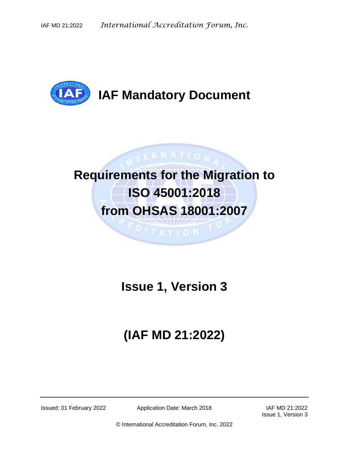

## **IAF Mandatory Document**

# **Requirements for the Migration to ISO 45001:2018 from OHSAS 18001:2007**

**ITATION** 

TERNATION

### **Issue 1, Version 3**

# **(IAF MD 21:2022)**

Issued: 01 February 2022 Application Date: March 2018 IAF MD 21:2022

Issue 1, Version 3

© International Accreditation Forum, Inc. 2022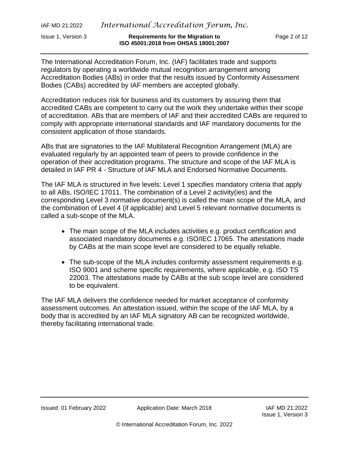IAF MD 21:2022 *International Accreditation Forum, Inc.*

The International Accreditation Forum, Inc. (IAF) facilitates trade and supports regulators by operating a worldwide mutual recognition arrangement among Accreditation Bodies (ABs) in order that the results issued by Conformity Assessment Bodies (CABs) accredited by IAF members are accepted globally.

Accreditation reduces risk for business and its customers by assuring them that accredited CABs are competent to carry out the work they undertake within their scope of accreditation. ABs that are members of IAF and their accredited CABs are required to comply with appropriate international standards and IAF mandatory documents for the consistent application of those standards.

ABs that are signatories to the IAF Multilateral Recognition Arrangement (MLA) are evaluated regularly by an appointed team of peers to provide confidence in the operation of their accreditation programs. The structure and scope of the IAF MLA is detailed in IAF PR 4 - Structure of IAF MLA and Endorsed Normative Documents.

The IAF MLA is structured in five levels: Level 1 specifies mandatory criteria that apply to all ABs, ISO/IEC 17011. The combination of a Level 2 activity(ies) and the corresponding Level 3 normative document(s) is called the main scope of the MLA, and the combination of Level 4 (if applicable) and Level 5 relevant normative documents is called a sub-scope of the MLA.

- The main scope of the MLA includes activities e.g. product certification and associated mandatory documents e.g. ISO/IEC 17065. The attestations made by CABs at the main scope level are considered to be equally reliable.
- The sub-scope of the MLA includes conformity assessment requirements e.g. ISO 9001 and scheme specific requirements, where applicable, e.g. ISO TS 22003. The attestations made by CABs at the sub scope level are considered to be equivalent.

The IAF MLA delivers the confidence needed for market acceptance of conformity assessment outcomes. An attestation issued, within the scope of the IAF MLA, by a body that is accredited by an IAF MLA signatory AB can be recognized worldwide, thereby facilitating international trade.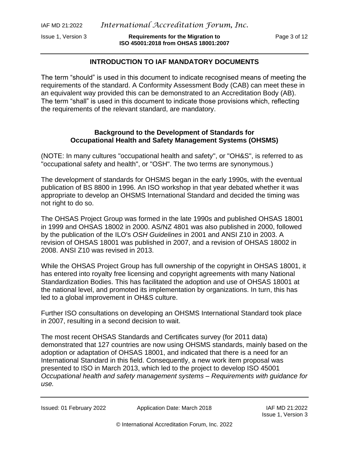Issue 1, Version 3 **Requirements for the Migration to** Page 3 of 12 **ISO 45001:2018 from OHSAS 18001:2007**

#### **INTRODUCTION TO IAF MANDATORY DOCUMENTS**

The term "should" is used in this document to indicate recognised means of meeting the requirements of the standard. A Conformity Assessment Body (CAB) can meet these in an equivalent way provided this can be demonstrated to an Accreditation Body (AB). The term "shall" is used in this document to indicate those provisions which, reflecting the requirements of the relevant standard, are mandatory.

#### **Background to the Development of Standards for Occupational Health and Safety Management Systems (OHSMS)**

(NOTE: In many cultures "occupational health and safety", or "OH&S", is referred to as "occupational safety and health", or "OSH". The two terms are synonymous.)

The development of standards for OHSMS began in the early 1990s, with the eventual publication of BS 8800 in 1996. An ISO workshop in that year debated whether it was appropriate to develop an OHSMS International Standard and decided the timing was not right to do so.

The OHSAS Project Group was formed in the late 1990s and published OHSAS 18001 in 1999 and OHSAS 18002 in 2000. AS/NZ 4801 was also published in 2000, followed by the publication of the ILO's *OSH Guidelines* in 2001 and ANSI Z10 in 2003. A revision of OHSAS 18001 was published in 2007, and a revision of OHSAS 18002 in 2008. ANSI Z10 was revised in 2013.

While the OHSAS Project Group has full ownership of the copyright in OHSAS 18001, it has entered into royalty free licensing and copyright agreements with many National Standardization Bodies. This has facilitated the adoption and use of OHSAS 18001 at the national level, and promoted its implementation by organizations. In turn, this has led to a global improvement in OH&S culture.

Further ISO consultations on developing an OHSMS International Standard took place in 2007, resulting in a second decision to wait.

The most recent OHSAS Standards and Certificates survey (for 2011 data) demonstrated that 127 countries are now using OHSMS standards, mainly based on the adoption or adaptation of OHSAS 18001, and indicated that there is a need for an International Standard in this field. Consequently, a new work item proposal was presented to ISO in March 2013, which led to the project to develop ISO 45001 *Occupational health and safety management systems – Requirements with guidance for use.*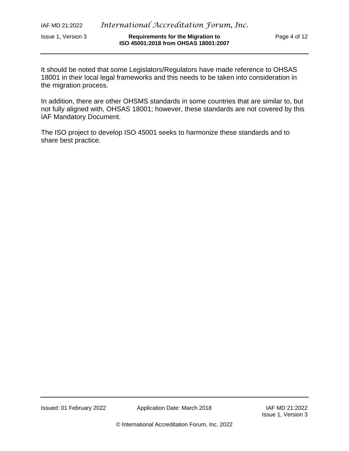It should be noted that some Legislators/Regulators have made reference to OHSAS 18001 in their local legal frameworks and this needs to be taken into consideration in the migration process.

In addition, there are other OHSMS standards in some countries that are similar to, but not fully aligned with, OHSAS 18001; however, these standards are not covered by this IAF Mandatory Document.

The ISO project to develop ISO 45001 seeks to harmonize these standards and to share best practice.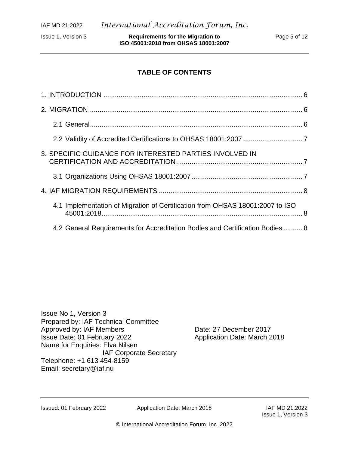Issue 1, Version 3 **Requirements for the Migration to** Page 5 of 12 **ISO 45001:2018 from OHSAS 18001:2007**

#### **TABLE OF CONTENTS**

| 3. SPECIFIC GUIDANCE FOR INTERESTED PARTIES INVOLVED IN                       |  |
|-------------------------------------------------------------------------------|--|
|                                                                               |  |
|                                                                               |  |
| 4.1 Implementation of Migration of Certification from OHSAS 18001:2007 to ISO |  |
| 4.2 General Requirements for Accreditation Bodies and Certification Bodies  8 |  |

Issue No 1, Version 3 Prepared by: IAF Technical Committee Approved by: IAF Members Date: 27 December 2017 Issue Date: 01 February 2022 Application Date: March 2018 Name for Enquiries: Elva Nilsen IAF Corporate Secretary Telephone: +1 613 454-8159 Email: [secretary@iaf.nu](mailto:secretary@iaf.nu)

Issued: 01 February 2022 Application Date: March 2018 IAF MD 21:2022

Issue 1, Version 3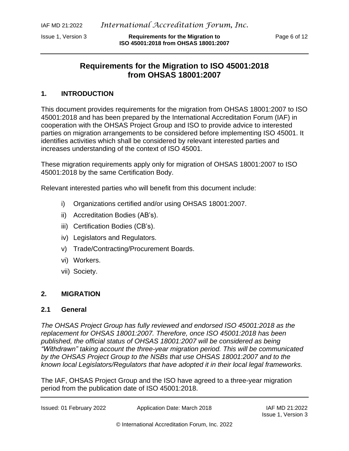#### **Requirements for the Migration to ISO 45001:2018 from OHSAS 18001:2007**

#### <span id="page-5-0"></span>**1. INTRODUCTION**

This document provides requirements for the migration from OHSAS 18001:2007 to ISO 45001:2018 and has been prepared by the International Accreditation Forum (IAF) in cooperation with the OHSAS Project Group and ISO to provide advice to interested parties on migration arrangements to be considered before implementing ISO 45001. It identifies activities which shall be considered by relevant interested parties and increases understanding of the context of ISO 45001.

These migration requirements apply only for migration of OHSAS 18001:2007 to ISO 45001:2018 by the same Certification Body.

Relevant interested parties who will benefit from this document include:

- i) Organizations certified and/or using OHSAS 18001:2007.
- ii) Accreditation Bodies (AB's).
- iii) Certification Bodies (CB's).
- iv) Legislators and Regulators.
- v) Trade/Contracting/Procurement Boards.
- vi) Workers.
- vii) Society.

#### <span id="page-5-1"></span>**2. MIGRATION**

#### <span id="page-5-2"></span>**2.1 General**

*The OHSAS Project Group has fully reviewed and endorsed ISO 45001:2018 as the replacement for OHSAS 18001:2007. Therefore, once ISO 45001:2018 has been published, the official status of OHSAS 18001:2007 will be considered as being "Withdrawn" taking account the three-year migration period. This will be communicated by the OHSAS Project Group to the NSBs that use OHSAS 18001:2007 and to the known local Legislators/Regulators that have adopted it in their local legal frameworks.*

The IAF, OHSAS Project Group and the ISO have agreed to a three-year migration period from the publication date of ISO 45001:2018.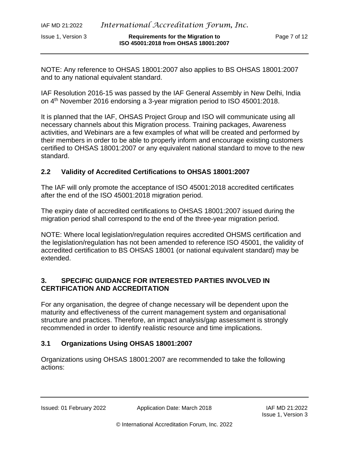NOTE: Any reference to OHSAS 18001:2007 also applies to BS OHSAS 18001:2007 and to any national equivalent standard.

IAF Resolution 2016-15 was passed by the IAF General Assembly in New Delhi, India on 4 th November 2016 endorsing a 3-year migration period to ISO 45001:2018.

It is planned that the IAF, OHSAS Project Group and ISO will communicate using all necessary channels about this Migration process. Training packages, Awareness activities, and Webinars are a few examples of what will be created and performed by their members in order to be able to properly inform and encourage existing customers certified to OHSAS 18001:2007 or any equivalent national standard to move to the new standard.

#### <span id="page-6-0"></span>**2.2 Validity of Accredited Certifications to OHSAS 18001:2007**

The IAF will only promote the acceptance of ISO 45001:2018 accredited certificates after the end of the ISO 45001:2018 migration period.

The expiry date of accredited certifications to OHSAS 18001:2007 issued during the migration period shall correspond to the end of the three-year migration period.

NOTE: Where local legislation/regulation requires accredited OHSMS certification and the legislation/regulation has not been amended to reference ISO 45001, the validity of accredited certification to BS OHSAS 18001 (or national equivalent standard) may be extended.

#### <span id="page-6-1"></span>**3. SPECIFIC GUIDANCE FOR INTERESTED PARTIES INVOLVED IN CERTIFICATION AND ACCREDITATION**

For any organisation, the degree of change necessary will be dependent upon the maturity and effectiveness of the current management system and organisational structure and practices. Therefore, an impact analysis/gap assessment is strongly recommended in order to identify realistic resource and time implications.

#### <span id="page-6-2"></span>**3.1 Organizations Using OHSAS 18001:2007**

Organizations using OHSAS 18001:2007 are recommended to take the following actions: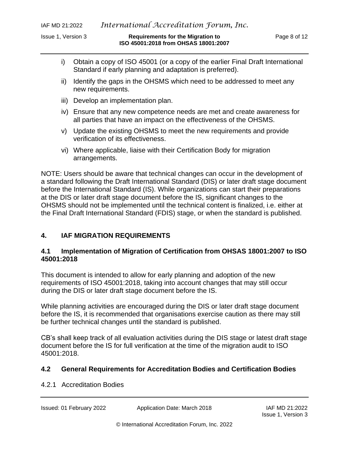- i) Obtain a copy of ISO 45001 (or a copy of the earlier Final Draft International Standard if early planning and adaptation is preferred).
- ii) Identify the gaps in the OHSMS which need to be addressed to meet any new requirements.
- iii) Develop an implementation plan.
- iv) Ensure that any new competence needs are met and create awareness for all parties that have an impact on the effectiveness of the OHSMS.
- v) Update the existing OHSMS to meet the new requirements and provide verification of its effectiveness.
- vi) Where applicable, liaise with their Certification Body for migration arrangements.

NOTE: Users should be aware that technical changes can occur in the development of a standard following the Draft International Standard (DIS) or later draft stage document before the International Standard (IS). While organizations can start their preparations at the DIS or later draft stage document before the IS, significant changes to the OHSMS should not be implemented until the technical content is finalized, i.e. either at the Final Draft International Standard (FDIS) stage, or when the standard is published.

#### <span id="page-7-0"></span>**4. IAF MIGRATION REQUIREMENTS**

#### <span id="page-7-1"></span>**4.1 Implementation of Migration of Certification from OHSAS 18001:2007 to ISO 45001:2018**

This document is intended to allow for early planning and adoption of the new requirements of ISO 45001:2018, taking into account changes that may still occur during the DIS or later draft stage document before the IS.

While planning activities are encouraged during the DIS or later draft stage document before the IS, it is recommended that organisations exercise caution as there may still be further technical changes until the standard is published.

CB's shall keep track of all evaluation activities during the DIS stage or latest draft stage document before the IS for full verification at the time of the migration audit to ISO 45001:2018.

#### <span id="page-7-2"></span>**4.2 General Requirements for Accreditation Bodies and Certification Bodies**

#### 4.2.1 Accreditation Bodies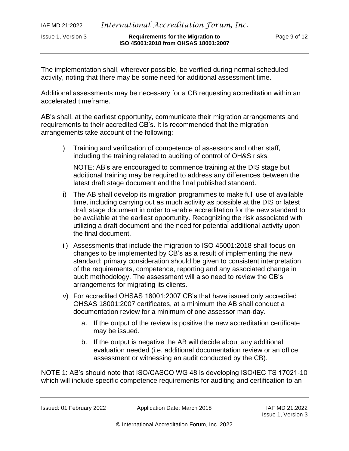The implementation shall, wherever possible, be verified during normal scheduled activity, noting that there may be some need for additional assessment time.

Additional assessments may be necessary for a CB requesting accreditation within an accelerated timeframe.

AB's shall, at the earliest opportunity, communicate their migration arrangements and requirements to their accredited CB's. It is recommended that the migration arrangements take account of the following:

i) Training and verification of competence of assessors and other staff, including the training related to auditing of control of OH&S risks.

NOTE: AB's are encouraged to commence training at the DIS stage but additional training may be required to address any differences between the latest draft stage document and the final published standard.

- ii) The AB shall develop its migration programmes to make full use of available time, including carrying out as much activity as possible at the DIS or latest draft stage document in order to enable accreditation for the new standard to be available at the earliest opportunity. Recognizing the risk associated with utilizing a draft document and the need for potential additional activity upon the final document.
- iii) Assessments that include the migration to ISO 45001:2018 shall focus on changes to be implemented by CB's as a result of implementing the new standard: primary consideration should be given to consistent interpretation of the requirements, competence, reporting and any associated change in audit methodology. The assessment will also need to review the CB's arrangements for migrating its clients.
- iv) For accredited OHSAS 18001:2007 CB's that have issued only accredited OHSAS 18001:2007 certificates, at a minimum the AB shall conduct a documentation review for a minimum of one assessor man-day.
	- a. If the output of the review is positive the new accreditation certificate may be issued.
	- b. If the output is negative the AB will decide about any additional evaluation needed (i.e. additional documentation review or an office assessment or witnessing an audit conducted by the CB).

NOTE 1: AB's should note that ISO/CASCO WG 48 is developing ISO/IEC TS 17021-10 which will include specific competence requirements for auditing and certification to an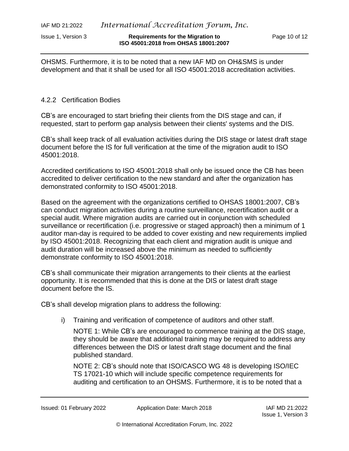OHSMS. Furthermore, it is to be noted that a new IAF MD on OH&SMS is under development and that it shall be used for all ISO 45001:2018 accreditation activities.

#### 4.2.2 Certification Bodies

CB's are encouraged to start briefing their clients from the DIS stage and can, if requested, start to perform gap analysis between their clients' systems and the DIS.

CB's shall keep track of all evaluation activities during the DIS stage or latest draft stage document before the IS for full verification at the time of the migration audit to ISO 45001:2018.

Accredited certifications to ISO 45001:2018 shall only be issued once the CB has been accredited to deliver certification to the new standard and after the organization has demonstrated conformity to ISO 45001:2018.

Based on the agreement with the organizations certified to OHSAS 18001:2007, CB's can conduct migration activities during a routine surveillance, recertification audit or a special audit. Where migration audits are carried out in conjunction with scheduled surveillance or recertification (i.e. progressive or staged approach) then a minimum of 1 auditor man-day is required to be added to cover existing and new requirements implied by ISO 45001:2018. Recognizing that each client and migration audit is unique and audit duration will be increased above the minimum as needed to sufficiently demonstrate conformity to ISO 45001:2018.

CB's shall communicate their migration arrangements to their clients at the earliest opportunity. It is recommended that this is done at the DIS or latest draft stage document before the IS.

CB's shall develop migration plans to address the following:

i) Training and verification of competence of auditors and other staff.

NOTE 1: While CB's are encouraged to commence training at the DIS stage, they should be aware that additional training may be required to address any differences between the DIS or latest draft stage document and the final published standard.

NOTE 2: CB's should note that ISO/CASCO WG 48 is developing ISO/IEC TS 17021-10 which will include specific competence requirements for auditing and certification to an OHSMS. Furthermore, it is to be noted that a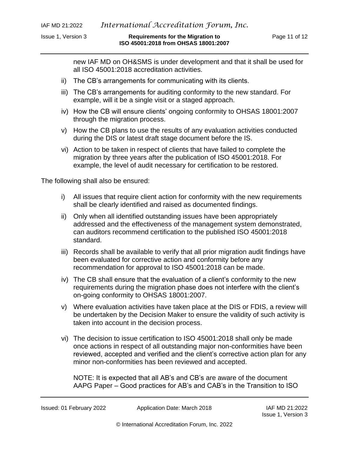new IAF MD on OH&SMS is under development and that it shall be used for all ISO 45001:2018 accreditation activities.

- ii) The CB's arrangements for communicating with its clients.
- iii) The CB's arrangements for auditing conformity to the new standard. For example, will it be a single visit or a staged approach.
- iv) How the CB will ensure clients' ongoing conformity to OHSAS 18001:2007 through the migration process.
- v) How the CB plans to use the results of any evaluation activities conducted during the DIS or latest draft stage document before the IS.
- vi) Action to be taken in respect of clients that have failed to complete the migration by three years after the publication of ISO 45001:2018. For example, the level of audit necessary for certification to be restored.

The following shall also be ensured:

- i) All issues that require client action for conformity with the new requirements shall be clearly identified and raised as documented findings.
- ii) Only when all identified outstanding issues have been appropriately addressed and the effectiveness of the management system demonstrated, can auditors recommend certification to the published ISO 45001:2018 standard.
- iii) Records shall be available to verify that all prior migration audit findings have been evaluated for corrective action and conformity before any recommendation for approval to ISO 45001:2018 can be made.
- iv) The CB shall ensure that the evaluation of a client's conformity to the new requirements during the migration phase does not interfere with the client's on-going conformity to OHSAS 18001:2007.
- v) Where evaluation activities have taken place at the DIS or FDIS, a review will be undertaken by the Decision Maker to ensure the validity of such activity is taken into account in the decision process.
- vi) The decision to issue certification to ISO 45001:2018 shall only be made once actions in respect of all outstanding major non-conformities have been reviewed, accepted and verified and the client's corrective action plan for any minor non-conformities has been reviewed and accepted.

NOTE: It is expected that all AB's and CB's are aware of the document AAPG Paper – Good practices for AB's and CAB's in the Transition to ISO